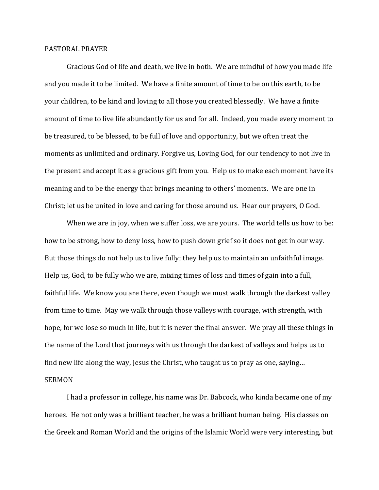## PASTORAL PRAYER

 Gracious God of life and death, we live in both. We are mindful of how you made life and you made it to be limited. We have a finite amount of time to be on this earth, to be your children, to be kind and loving to all those you created blessedly. We have a finite amount of time to live life abundantly for us and for all. Indeed, you made every moment to be treasured, to be blessed, to be full of love and opportunity, but we often treat the moments as unlimited and ordinary. Forgive us, Loving God, for our tendency to not live in the present and accept it as a gracious gift from you. Help us to make each moment have its meaning and to be the energy that brings meaning to others' moments. We are one in Christ; let us be united in love and caring for those around us. Hear our prayers, O God.

When we are in joy, when we suffer loss, we are yours. The world tells us how to be: how to be strong, how to deny loss, how to push down grief so it does not get in our way. But those things do not help us to live fully; they help us to maintain an unfaithful image. Help us, God, to be fully who we are, mixing times of loss and times of gain into a full, faithful life. We know you are there, even though we must walk through the darkest valley from time to time. May we walk through those valleys with courage, with strength, with hope, for we lose so much in life, but it is never the final answer. We pray all these things in the name of the Lord that journeys with us through the darkest of valleys and helps us to find new life along the way, Jesus the Christ, who taught us to pray as one, saying… SERMON

 I had a professor in college, his name was Dr. Babcock, who kinda became one of my heroes. He not only was a brilliant teacher, he was a brilliant human being. His classes on the Greek and Roman World and the origins of the Islamic World were very interesting, but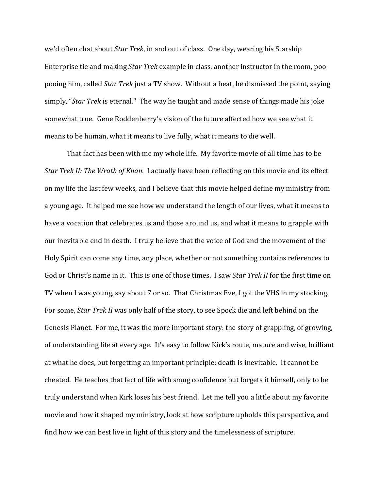we'd often chat about *Star Trek*, in and out of class. One day, wearing his Starship Enterprise tie and making *Star Trek* example in class, another instructor in the room, poopooing him, called *Star Trek* just a TV show. Without a beat, he dismissed the point, saying simply, "*Star Trek* is eternal." The way he taught and made sense of things made his joke somewhat true. Gene Roddenberry's vision of the future affected how we see what it means to be human, what it means to live fully, what it means to die well.

 That fact has been with me my whole life. My favorite movie of all time has to be *Star Trek II: The Wrath of Khan*. I actually have been reflecting on this movie and its effect on my life the last few weeks, and I believe that this movie helped define my ministry from a young age. It helped me see how we understand the length of our lives, what it means to have a vocation that celebrates us and those around us, and what it means to grapple with our inevitable end in death. I truly believe that the voice of God and the movement of the Holy Spirit can come any time, any place, whether or not something contains references to God or Christ's name in it. This is one of those times. I saw *Star Trek II* for the first time on TV when I was young, say about 7 or so. That Christmas Eve, I got the VHS in my stocking. For some, *Star Trek II* was only half of the story, to see Spock die and left behind on the Genesis Planet. For me, it was the more important story: the story of grappling, of growing, of understanding life at every age. It's easy to follow Kirk's route, mature and wise, brilliant at what he does, but forgetting an important principle: death is inevitable. It cannot be cheated. He teaches that fact of life with smug confidence but forgets it himself, only to be truly understand when Kirk loses his best friend. Let me tell you a little about my favorite movie and how it shaped my ministry, look at how scripture upholds this perspective, and find how we can best live in light of this story and the timelessness of scripture.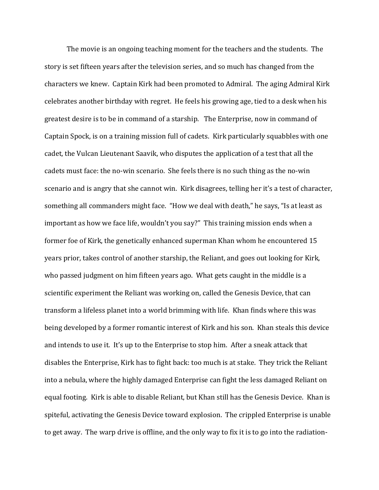The movie is an ongoing teaching moment for the teachers and the students. The story is set fifteen years after the television series, and so much has changed from the characters we knew. Captain Kirk had been promoted to Admiral. The aging Admiral Kirk celebrates another birthday with regret. He feels his growing age, tied to a desk when his greatest desire is to be in command of a starship. The Enterprise, now in command of Captain Spock, is on a training mission full of cadets. Kirk particularly squabbles with one cadet, the Vulcan Lieutenant Saavik, who disputes the application of a test that all the cadets must face: the no-win scenario. She feels there is no such thing as the no-win scenario and is angry that she cannot win. Kirk disagrees, telling her it's a test of character, something all commanders might face. "How we deal with death," he says, "Is at least as important as how we face life, wouldn't you say?" This training mission ends when a former foe of Kirk, the genetically enhanced superman Khan whom he encountered 15 years prior, takes control of another starship, the Reliant, and goes out looking for Kirk, who passed judgment on him fifteen years ago. What gets caught in the middle is a scientific experiment the Reliant was working on, called the Genesis Device, that can transform a lifeless planet into a world brimming with life. Khan finds where this was being developed by a former romantic interest of Kirk and his son. Khan steals this device and intends to use it. It's up to the Enterprise to stop him. After a sneak attack that disables the Enterprise, Kirk has to fight back: too much is at stake. They trick the Reliant into a nebula, where the highly damaged Enterprise can fight the less damaged Reliant on equal footing. Kirk is able to disable Reliant, but Khan still has the Genesis Device. Khan is spiteful, activating the Genesis Device toward explosion. The crippled Enterprise is unable to get away. The warp drive is offline, and the only way to fix it is to go into the radiation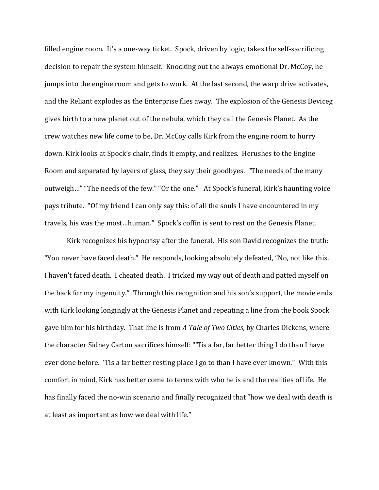filled engine room. It's a one-way ticket. Spock, driven by logic, takes the self-sacrificing decision to repair the system himself. Knocking out the always-emotional Dr. McCoy, he jumps into the engine room and gets to work. At the last second, the warp drive activates, and the Reliant explodes as the Enterprise flies away. The explosion of the Genesis Deviceg gives birth to a new planet out of the nebula, which they call the Genesis Planet. As the crew watches new life come to be, Dr. McCoy calls Kirk from the engine room to hurry down. Kirk looks at Spock's chair, finds it empty, and realizes. Herushes to the Engine Room and separated by layers of glass, they say their goodbyes. "The needs of the many outweigh…" "The needs of the few." "Or the one." At Spock's funeral, Kirk's haunting voice pays tribute. "Of my friend I can only say this: of all the souls I have encountered in my travels, his was the most…human." Spock's coffin is sent to rest on the Genesis Planet.

 Kirk recognizes his hypocrisy after the funeral. His son David recognizes the truth: "You never have faced death." He responds, looking absolutely defeated, "No, not like this. I haven't faced death. I cheated death. I tricked my way out of death and patted myself on the back for my ingenuity." Through this recognition and his son's support, the movie ends with Kirk looking longingly at the Genesis Planet and repeating a line from the book Spock gave him for his birthday. That line is from *A Tale of Two Cities*, by Charles Dickens, where the character Sidney Carton sacrifices himself: "'Tis a far, far better thing I do than I have ever done before. 'Tis a far better resting place I go to than I have ever known." With this comfort in mind, Kirk has better come to terms with who he is and the realities of life. He has finally faced the no-win scenario and finally recognized that "how we deal with death is at least as important as how we deal with life."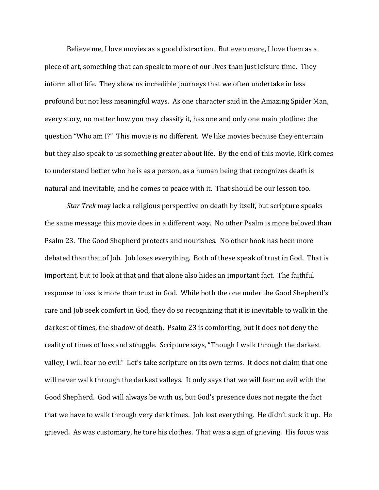Believe me, I love movies as a good distraction. But even more, I love them as a piece of art, something that can speak to more of our lives than just leisure time. They inform all of life. They show us incredible journeys that we often undertake in less profound but not less meaningful ways. As one character said in the Amazing Spider Man, every story, no matter how you may classify it, has one and only one main plotline: the question "Who am I?" This movie is no different. We like movies because they entertain but they also speak to us something greater about life. By the end of this movie, Kirk comes to understand better who he is as a person, as a human being that recognizes death is natural and inevitable, and he comes to peace with it. That should be our lesson too.

*Star Trek* may lack a religious perspective on death by itself, but scripture speaks the same message this movie does in a different way. No other Psalm is more beloved than Psalm 23. The Good Shepherd protects and nourishes. No other book has been more debated than that of Job. Job loses everything. Both of these speak of trust in God. That is important, but to look at that and that alone also hides an important fact. The faithful response to loss is more than trust in God. While both the one under the Good Shepherd's care and Job seek comfort in God, they do so recognizing that it is inevitable to walk in the darkest of times, the shadow of death. Psalm 23 is comforting, but it does not deny the reality of times of loss and struggle. Scripture says, "Though I walk through the darkest valley, I will fear no evil." Let's take scripture on its own terms. It does not claim that one will never walk through the darkest valleys. It only says that we will fear no evil with the Good Shepherd. God will always be with us, but God's presence does not negate the fact that we have to walk through very dark times. Job lost everything. He didn't suck it up. He grieved. As was customary, he tore his clothes. That was a sign of grieving. His focus was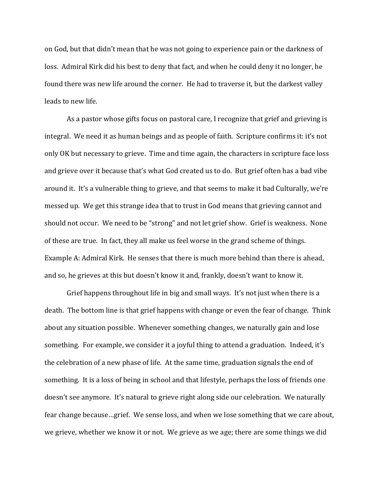on God, but that didn't mean that he was not going to experience pain or the darkness of loss. Admiral Kirk did his best to deny that fact, and when he could deny it no longer, he found there was new life around the corner. He had to traverse it, but the darkest valley leads to new life.

As a pastor whose gifts focus on pastoral care, I recognize that grief and grieving is integral. We need it as human beings and as people of faith. Scripture confirms it: it's not only OK but necessary to grieve. Time and time again, the characters in scripture face loss and grieve over it because that's what God created us to do. But grief often has a bad vibe around it. It's a vulnerable thing to grieve, and that seems to make it bad Culturally, we're messed up. We get this strange idea that to trust in God means that grieving cannot and should not occur. We need to be "strong" and not let grief show. Grief is weakness. None of these are true. In fact, they all make us feel worse in the grand scheme of things. Example A: Admiral Kirk. He senses that there is much more behind than there is ahead, and so, he grieves at this but doesn't know it and, frankly, doesn't want to know it.

 Grief happens throughout life in big and small ways. It's not just when there is a death. The bottom line is that grief happens with change or even the fear of change. Think about any situation possible. Whenever something changes, we naturally gain and lose something. For example, we consider it a joyful thing to attend a graduation. Indeed, it's the celebration of a new phase of life. At the same time, graduation signals the end of something. It is a loss of being in school and that lifestyle, perhaps the loss of friends one doesn't see anymore. It's natural to grieve right along side our celebration. We naturally fear change because…grief. We sense loss, and when we lose something that we care about, we grieve, whether we know it or not. We grieve as we age; there are some things we did